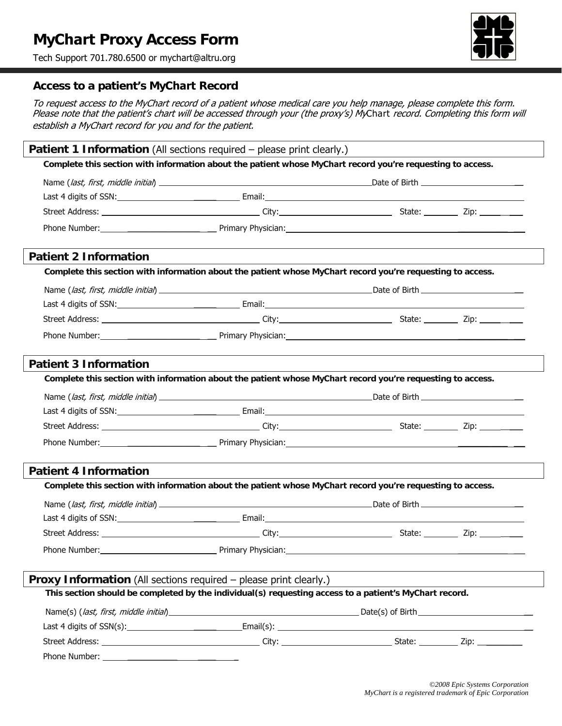# **MyChart Proxy Access Form**

Tech Support 701.780.6500 or mychart@altru.org



# **Access to a patient's MyChart Record**

To request access to the MyChart record of a patient whose medical care you help manage, please complete this form. Please note that the patient's chart will be accessed through your (the proxy's) MyChart record. Completing this form will establish a MyChart record for you and for the patient.

| Patient 1 Information (All sections required - please print clearly.) |                                                                                                            |                                                                                                            |  |  |  |  |  |  |  |
|-----------------------------------------------------------------------|------------------------------------------------------------------------------------------------------------|------------------------------------------------------------------------------------------------------------|--|--|--|--|--|--|--|
|                                                                       | Complete this section with information about the patient whose MyChart record you're requesting to access. |                                                                                                            |  |  |  |  |  |  |  |
|                                                                       |                                                                                                            |                                                                                                            |  |  |  |  |  |  |  |
|                                                                       |                                                                                                            |                                                                                                            |  |  |  |  |  |  |  |
|                                                                       |                                                                                                            |                                                                                                            |  |  |  |  |  |  |  |
|                                                                       |                                                                                                            |                                                                                                            |  |  |  |  |  |  |  |
|                                                                       |                                                                                                            |                                                                                                            |  |  |  |  |  |  |  |
|                                                                       | <b>Patient 2 Information</b>                                                                               |                                                                                                            |  |  |  |  |  |  |  |
|                                                                       |                                                                                                            | Complete this section with information about the patient whose MyChart record you're requesting to access. |  |  |  |  |  |  |  |
|                                                                       |                                                                                                            |                                                                                                            |  |  |  |  |  |  |  |
|                                                                       |                                                                                                            |                                                                                                            |  |  |  |  |  |  |  |
|                                                                       |                                                                                                            |                                                                                                            |  |  |  |  |  |  |  |
|                                                                       |                                                                                                            |                                                                                                            |  |  |  |  |  |  |  |
|                                                                       |                                                                                                            |                                                                                                            |  |  |  |  |  |  |  |
|                                                                       | <b>Patient 3 Information</b>                                                                               |                                                                                                            |  |  |  |  |  |  |  |
|                                                                       | Complete this section with information about the patient whose MyChart record you're requesting to access. |                                                                                                            |  |  |  |  |  |  |  |
|                                                                       |                                                                                                            |                                                                                                            |  |  |  |  |  |  |  |
|                                                                       |                                                                                                            |                                                                                                            |  |  |  |  |  |  |  |
|                                                                       |                                                                                                            |                                                                                                            |  |  |  |  |  |  |  |
|                                                                       |                                                                                                            |                                                                                                            |  |  |  |  |  |  |  |
|                                                                       |                                                                                                            |                                                                                                            |  |  |  |  |  |  |  |
| <b>Patient 4 Information</b>                                          |                                                                                                            |                                                                                                            |  |  |  |  |  |  |  |
|                                                                       | Complete this section with information about the patient whose MyChart record you're requesting to access. |                                                                                                            |  |  |  |  |  |  |  |
|                                                                       |                                                                                                            |                                                                                                            |  |  |  |  |  |  |  |
|                                                                       |                                                                                                            |                                                                                                            |  |  |  |  |  |  |  |
|                                                                       |                                                                                                            |                                                                                                            |  |  |  |  |  |  |  |
|                                                                       | Phone Number:                                                                                              | Primary Physician:                                                                                         |  |  |  |  |  |  |  |
|                                                                       |                                                                                                            |                                                                                                            |  |  |  |  |  |  |  |
|                                                                       | <b>Proxy Information</b> (All sections required – please print clearly.)                                   |                                                                                                            |  |  |  |  |  |  |  |
|                                                                       | This section should be completed by the individual(s) requesting access to a patient's MyChart record.     |                                                                                                            |  |  |  |  |  |  |  |
|                                                                       |                                                                                                            |                                                                                                            |  |  |  |  |  |  |  |
|                                                                       |                                                                                                            |                                                                                                            |  |  |  |  |  |  |  |
|                                                                       |                                                                                                            |                                                                                                            |  |  |  |  |  |  |  |
|                                                                       |                                                                                                            |                                                                                                            |  |  |  |  |  |  |  |
|                                                                       |                                                                                                            |                                                                                                            |  |  |  |  |  |  |  |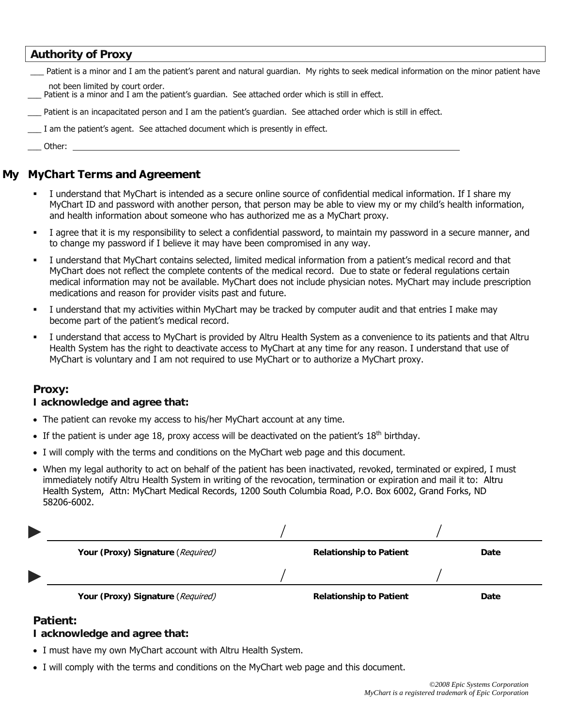### **Authority of Proxy**

Patient is a minor and I am the patient's parent and natural guardian. My rights to seek medical information on the minor patient have not been limited by court order.

- Patient is a minor and I am the patient's guardian. See attached order which is still in effect.
- Patient is an incapacitated person and I am the patient's guardian. See attached order which is still in effect.
- \_\_\_ I am the patient's agent. See attached document which is presently in effect.

\_\_\_ Other:

# **My MyChart Terms and Agreement**

- I understand that MyChart is intended as a secure online source of confidential medical information. If I share my MyChart ID and password with another person, that person may be able to view my or my child's health information, and health information about someone who has authorized me as a MyChart proxy.
- I agree that it is my responsibility to select a confidential password, to maintain my password in a secure manner, and to change my password if I believe it may have been compromised in any way.
- I understand that MyChart contains selected, limited medical information from a patient's medical record and that MyChart does not reflect the complete contents of the medical record. Due to state or federal regulations certain medical information may not be available. MyChart does not include physician notes. MyChart may include prescription medications and reason for provider visits past and future.
- I understand that my activities within MyChart may be tracked by computer audit and that entries I make may become part of the patient's medical record.
- I understand that access to MyChart is provided by Altru Health System as a convenience to its patients and that Altru Health System has the right to deactivate access to MyChart at any time for any reason. I understand that use of MyChart is voluntary and I am not required to use MyChart or to authorize a MyChart proxy.

### **Proxy:**

#### **I acknowledge and agree that:**

- The patient can revoke my access to his/her MyChart account at any time.
- If the patient is under age 18, proxy access will be deactivated on the patient's  $18<sup>th</sup>$  birthday.
- I will comply with the terms and conditions on the MyChart web page and this document.
- When my legal authority to act on behalf of the patient has been inactivated, revoked, terminated or expired, I must immediately notify Altru Health System in writing of the revocation, termination or expiration and mail it to: Altru Health System, Attn: MyChart Medical Records, 1200 South Columbia Road, P.O. Box 6002, Grand Forks, ND 58206-6002.

| Your (Proxy) Signature (Required) | <b>Relationship to Patient</b> | Date |
|-----------------------------------|--------------------------------|------|
|                                   |                                |      |
| Your (Proxy) Signature (Required) | <b>Relationship to Patient</b> | Date |

### **Patient:**

#### **I acknowledge and agree that:**

- I must have my own MyChart account with Altru Health System.
- I will comply with the terms and conditions on the MyChart web page and this document.